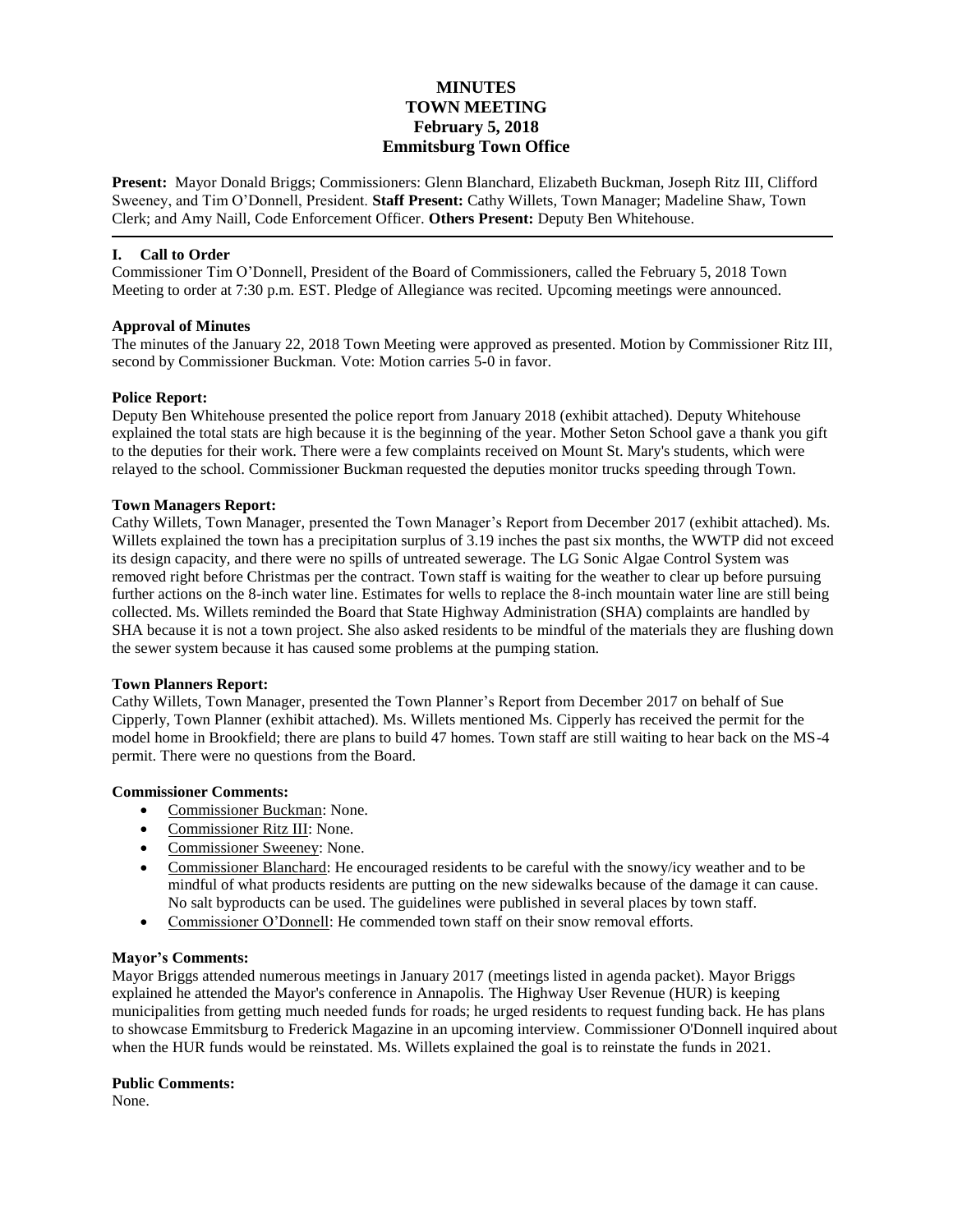# **MINUTES TOWN MEETING February 5, 2018 Emmitsburg Town Office**

**Present:** Mayor Donald Briggs; Commissioners: Glenn Blanchard, Elizabeth Buckman, Joseph Ritz III, Clifford Sweeney, and Tim O'Donnell, President. **Staff Present:** Cathy Willets, Town Manager; Madeline Shaw, Town Clerk; and Amy Naill, Code Enforcement Officer. **Others Present:** Deputy Ben Whitehouse.

### **I. Call to Order**

Commissioner Tim O'Donnell, President of the Board of Commissioners, called the February 5, 2018 Town Meeting to order at 7:30 p.m. EST. Pledge of Allegiance was recited. Upcoming meetings were announced.

### **Approval of Minutes**

The minutes of the January 22, 2018 Town Meeting were approved as presented. Motion by Commissioner Ritz III, second by Commissioner Buckman. Vote: Motion carries 5-0 in favor.

### **Police Report:**

Deputy Ben Whitehouse presented the police report from January 2018 (exhibit attached). Deputy Whitehouse explained the total stats are high because it is the beginning of the year. Mother Seton School gave a thank you gift to the deputies for their work. There were a few complaints received on Mount St. Mary's students, which were relayed to the school. Commissioner Buckman requested the deputies monitor trucks speeding through Town.

### **Town Managers Report:**

Cathy Willets, Town Manager, presented the Town Manager's Report from December 2017 (exhibit attached). Ms. Willets explained the town has a precipitation surplus of 3.19 inches the past six months, the WWTP did not exceed its design capacity, and there were no spills of untreated sewerage. The LG Sonic Algae Control System was removed right before Christmas per the contract. Town staff is waiting for the weather to clear up before pursuing further actions on the 8-inch water line. Estimates for wells to replace the 8-inch mountain water line are still being collected. Ms. Willets reminded the Board that State Highway Administration (SHA) complaints are handled by SHA because it is not a town project. She also asked residents to be mindful of the materials they are flushing down the sewer system because it has caused some problems at the pumping station.

### **Town Planners Report:**

Cathy Willets, Town Manager, presented the Town Planner's Report from December 2017 on behalf of Sue Cipperly, Town Planner (exhibit attached). Ms. Willets mentioned Ms. Cipperly has received the permit for the model home in Brookfield; there are plans to build 47 homes. Town staff are still waiting to hear back on the MS-4 permit. There were no questions from the Board.

# **Commissioner Comments:**

- Commissioner Buckman: None.
- Commissioner Ritz III: None.
- Commissioner Sweeney: None.
- Commissioner Blanchard: He encouraged residents to be careful with the snowy/icy weather and to be mindful of what products residents are putting on the new sidewalks because of the damage it can cause. No salt byproducts can be used. The guidelines were published in several places by town staff.
- Commissioner O'Donnell: He commended town staff on their snow removal efforts.

# **Mayor's Comments:**

Mayor Briggs attended numerous meetings in January 2017 (meetings listed in agenda packet). Mayor Briggs explained he attended the Mayor's conference in Annapolis. The Highway User Revenue (HUR) is keeping municipalities from getting much needed funds for roads; he urged residents to request funding back. He has plans to showcase Emmitsburg to Frederick Magazine in an upcoming interview. Commissioner O'Donnell inquired about when the HUR funds would be reinstated. Ms. Willets explained the goal is to reinstate the funds in 2021.

### **Public Comments:**

None.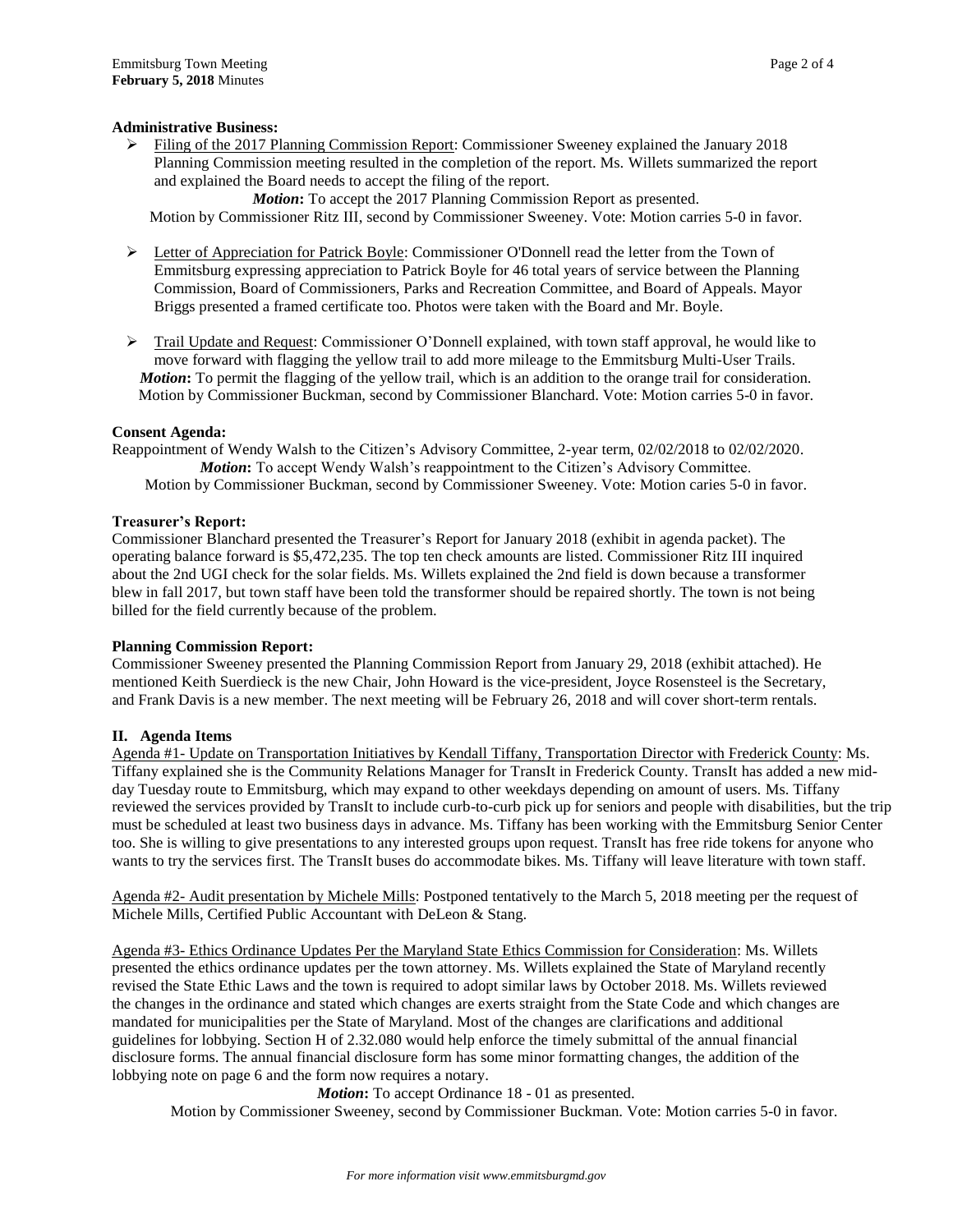### **Administrative Business:**

 $\triangleright$  Filing of the 2017 Planning Commission Report: Commissioner Sweeney explained the January 2018 Planning Commission meeting resulted in the completion of the report. Ms. Willets summarized the report and explained the Board needs to accept the filing of the report.

*Motion***:** To accept the 2017 Planning Commission Report as presented. Motion by Commissioner Ritz III, second by Commissioner Sweeney. Vote: Motion carries 5-0 in favor.

- $\triangleright$  Letter of Appreciation for Patrick Boyle: Commissioner O'Donnell read the letter from the Town of Emmitsburg expressing appreciation to Patrick Boyle for 46 total years of service between the Planning Commission, Board of Commissioners, Parks and Recreation Committee, and Board of Appeals. Mayor Briggs presented a framed certificate too. Photos were taken with the Board and Mr. Boyle.
- $\triangleright$  Trail Update and Request: Commissioner O'Donnell explained, with town staff approval, he would like to move forward with flagging the yellow trail to add more mileage to the Emmitsburg Multi-User Trails. *Motion***:** To permit the flagging of the yellow trail, which is an addition to the orange trail for consideration. Motion by Commissioner Buckman, second by Commissioner Blanchard. Vote: Motion carries 5-0 in favor.

### **Consent Agenda:**

Reappointment of Wendy Walsh to the Citizen's Advisory Committee, 2-year term, 02/02/2018 to 02/02/2020. *Motion***:** To accept Wendy Walsh's reappointment to the Citizen's Advisory Committee. Motion by Commissioner Buckman, second by Commissioner Sweeney. Vote: Motion caries 5-0 in favor.

### **Treasurer's Report:**

Commissioner Blanchard presented the Treasurer's Report for January 2018 (exhibit in agenda packet). The operating balance forward is \$5,472,235. The top ten check amounts are listed. Commissioner Ritz III inquired about the 2nd UGI check for the solar fields. Ms. Willets explained the 2nd field is down because a transformer blew in fall 2017, but town staff have been told the transformer should be repaired shortly. The town is not being billed for the field currently because of the problem.

### **Planning Commission Report:**

Commissioner Sweeney presented the Planning Commission Report from January 29, 2018 (exhibit attached). He mentioned Keith Suerdieck is the new Chair, John Howard is the vice-president, Joyce Rosensteel is the Secretary, and Frank Davis is a new member. The next meeting will be February 26, 2018 and will cover short-term rentals.

# **II. Agenda Items**

Agenda #1- Update on Transportation Initiatives by Kendall Tiffany, Transportation Director with Frederick County: Ms. Tiffany explained she is the Community Relations Manager for TransIt in Frederick County. TransIt has added a new midday Tuesday route to Emmitsburg, which may expand to other weekdays depending on amount of users. Ms. Tiffany reviewed the services provided by TransIt to include curb-to-curb pick up for seniors and people with disabilities, but the trip must be scheduled at least two business days in advance. Ms. Tiffany has been working with the Emmitsburg Senior Center too. She is willing to give presentations to any interested groups upon request. TransIt has free ride tokens for anyone who wants to try the services first. The TransIt buses do accommodate bikes. Ms. Tiffany will leave literature with town staff.

Agenda #2- Audit presentation by Michele Mills: Postponed tentatively to the March 5, 2018 meeting per the request of Michele Mills, Certified Public Accountant with DeLeon & Stang.

Agenda #3- Ethics Ordinance Updates Per the Maryland State Ethics Commission for Consideration: Ms. Willets presented the ethics ordinance updates per the town attorney. Ms. Willets explained the State of Maryland recently revised the State Ethic Laws and the town is required to adopt similar laws by October 2018. Ms. Willets reviewed the changes in the ordinance and stated which changes are exerts straight from the State Code and which changes are mandated for municipalities per the State of Maryland. Most of the changes are clarifications and additional guidelines for lobbying. Section H of 2.32.080 would help enforce the timely submittal of the annual financial disclosure forms. The annual financial disclosure form has some minor formatting changes, the addition of the lobbying note on page 6 and the form now requires a notary.

*Motion***:** To accept Ordinance 18 - 01 as presented.

Motion by Commissioner Sweeney, second by Commissioner Buckman. Vote: Motion carries 5-0 in favor.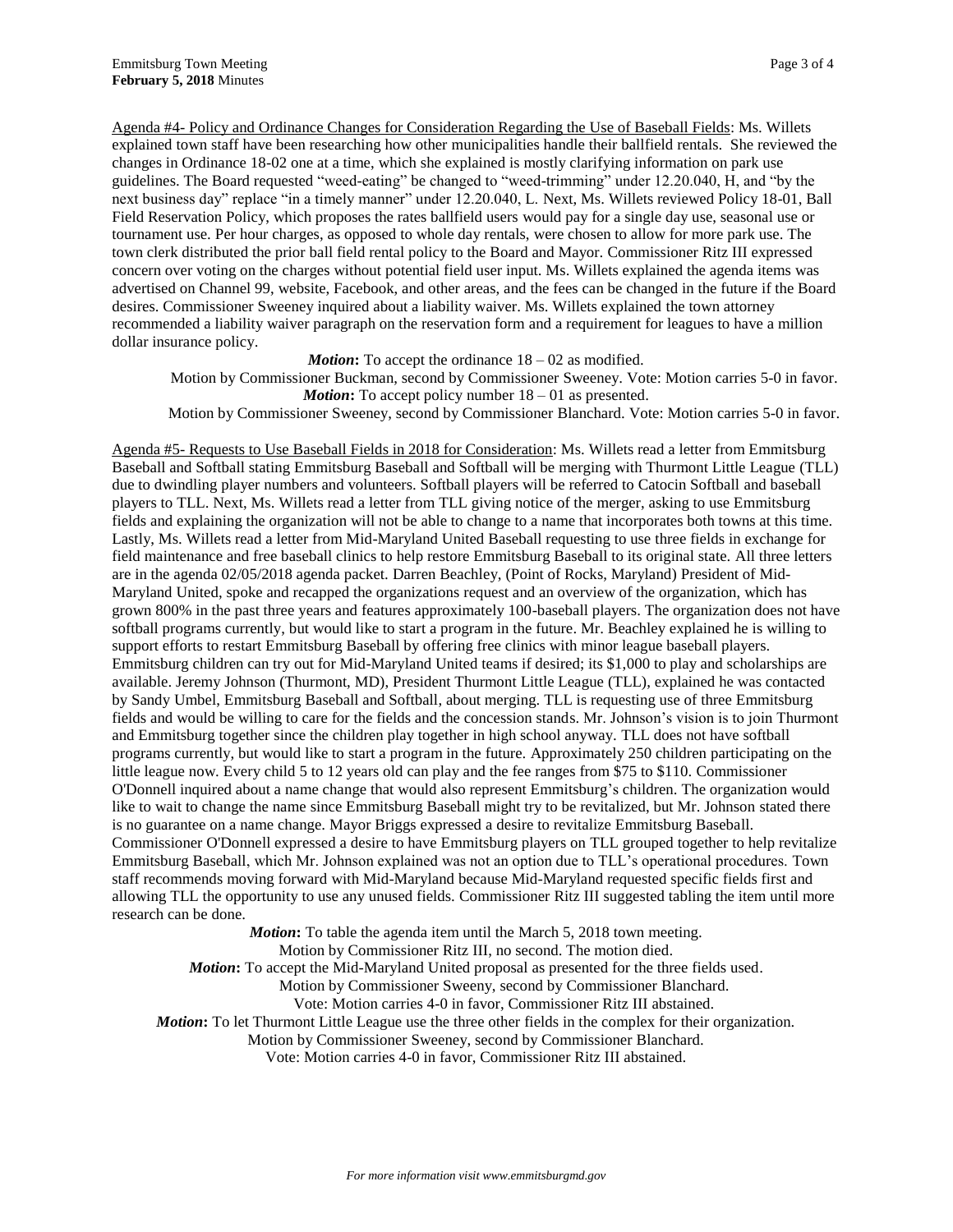Agenda #4- Policy and Ordinance Changes for Consideration Regarding the Use of Baseball Fields: Ms. Willets explained town staff have been researching how other municipalities handle their ballfield rentals. She reviewed the changes in Ordinance 18-02 one at a time, which she explained is mostly clarifying information on park use guidelines. The Board requested "weed-eating" be changed to "weed-trimming" under 12.20.040, H, and "by the next business day" replace "in a timely manner" under 12.20.040, L. Next, Ms. Willets reviewed Policy 18-01, Ball Field Reservation Policy, which proposes the rates ballfield users would pay for a single day use, seasonal use or tournament use. Per hour charges, as opposed to whole day rentals, were chosen to allow for more park use. The town clerk distributed the prior ball field rental policy to the Board and Mayor. Commissioner Ritz III expressed concern over voting on the charges without potential field user input. Ms. Willets explained the agenda items was advertised on Channel 99, website, Facebook, and other areas, and the fees can be changed in the future if the Board desires. Commissioner Sweeney inquired about a liability waiver. Ms. Willets explained the town attorney recommended a liability waiver paragraph on the reservation form and a requirement for leagues to have a million dollar insurance policy.

*Motion*: To accept the ordinance  $18 - 02$  as modified.

Motion by Commissioner Buckman, second by Commissioner Sweeney. Vote: Motion carries 5-0 in favor. *Motion*: To accept policy number  $18 - 01$  as presented.

Motion by Commissioner Sweeney, second by Commissioner Blanchard. Vote: Motion carries 5-0 in favor.

Agenda #5- Requests to Use Baseball Fields in 2018 for Consideration: Ms. Willets read a letter from Emmitsburg Baseball and Softball stating Emmitsburg Baseball and Softball will be merging with Thurmont Little League (TLL) due to dwindling player numbers and volunteers. Softball players will be referred to Catocin Softball and baseball players to TLL. Next, Ms. Willets read a letter from TLL giving notice of the merger, asking to use Emmitsburg fields and explaining the organization will not be able to change to a name that incorporates both towns at this time. Lastly, Ms. Willets read a letter from Mid-Maryland United Baseball requesting to use three fields in exchange for field maintenance and free baseball clinics to help restore Emmitsburg Baseball to its original state. All three letters are in the agenda 02/05/2018 agenda packet. Darren Beachley, (Point of Rocks, Maryland) President of Mid-Maryland United, spoke and recapped the organizations request and an overview of the organization, which has grown 800% in the past three years and features approximately 100-baseball players. The organization does not have softball programs currently, but would like to start a program in the future. Mr. Beachley explained he is willing to support efforts to restart Emmitsburg Baseball by offering free clinics with minor league baseball players. Emmitsburg children can try out for Mid-Maryland United teams if desired; its \$1,000 to play and scholarships are available. Jeremy Johnson (Thurmont, MD), President Thurmont Little League (TLL), explained he was contacted by Sandy Umbel, Emmitsburg Baseball and Softball, about merging. TLL is requesting use of three Emmitsburg fields and would be willing to care for the fields and the concession stands. Mr. Johnson's vision is to join Thurmont and Emmitsburg together since the children play together in high school anyway. TLL does not have softball programs currently, but would like to start a program in the future. Approximately 250 children participating on the little league now. Every child 5 to 12 years old can play and the fee ranges from \$75 to \$110. Commissioner O'Donnell inquired about a name change that would also represent Emmitsburg's children. The organization would like to wait to change the name since Emmitsburg Baseball might try to be revitalized, but Mr. Johnson stated there is no guarantee on a name change. Mayor Briggs expressed a desire to revitalize Emmitsburg Baseball. Commissioner O'Donnell expressed a desire to have Emmitsburg players on TLL grouped together to help revitalize Emmitsburg Baseball, which Mr. Johnson explained was not an option due to TLL's operational procedures. Town staff recommends moving forward with Mid-Maryland because Mid-Maryland requested specific fields first and allowing TLL the opportunity to use any unused fields. Commissioner Ritz III suggested tabling the item until more research can be done.

*Motion***:** To table the agenda item until the March 5, 2018 town meeting. Motion by Commissioner Ritz III, no second. The motion died. *Motion***:** To accept the Mid-Maryland United proposal as presented for the three fields used. Motion by Commissioner Sweeny, second by Commissioner Blanchard. Vote: Motion carries 4-0 in favor, Commissioner Ritz III abstained. *Motion***:** To let Thurmont Little League use the three other fields in the complex for their organization. Motion by Commissioner Sweeney, second by Commissioner Blanchard. Vote: Motion carries 4-0 in favor, Commissioner Ritz III abstained.